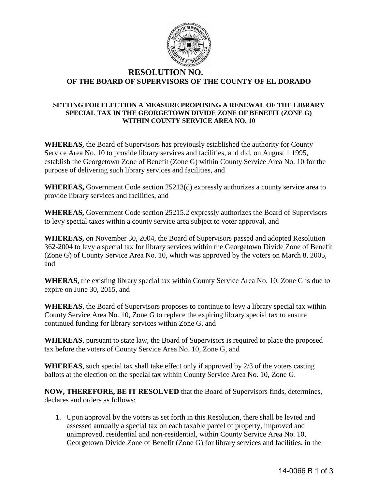

## **RESOLUTION NO. OF THE BOARD OF SUPERVISORS OF THE COUNTY OF EL DORADO**

## **SETTING FOR ELECTION A MEASURE PROPOSING A RENEWAL OF THE LIBRARY SPECIAL TAX IN THE GEORGETOWN DIVIDE ZONE OF BENEFIT (ZONE G) WITHIN COUNTY SERVICE AREA NO. 10**

**WHEREAS,** the Board of Supervisors has previously established the authority for County Service Area No. 10 to provide library services and facilities, and did, on August 1 1995, establish the Georgetown Zone of Benefit (Zone G) within County Service Area No. 10 for the purpose of delivering such library services and facilities, and

**WHEREAS,** Government Code section 25213(d) expressly authorizes a county service area to provide library services and facilities, and

**WHEREAS,** Government Code section 25215.2 expressly authorizes the Board of Supervisors to levy special taxes within a county service area subject to voter approval, and

**WHEREAS,** on November 30, 2004, the Board of Supervisors passed and adopted Resolution 362-2004 to levy a special tax for library services within the Georgetown Divide Zone of Benefit (Zone G) of County Service Area No. 10, which was approved by the voters on March 8, 2005, and

**WHERAS**, the existing library special tax within County Service Area No. 10, Zone G is due to expire on June 30, 2015, and

**WHEREAS**, the Board of Supervisors proposes to continue to levy a library special tax within County Service Area No. 10, Zone G to replace the expiring library special tax to ensure continued funding for library services within Zone G, and

**WHEREAS**, pursuant to state law, the Board of Supervisors is required to place the proposed tax before the voters of County Service Area No. 10, Zone G, and

**WHEREAS**, such special tax shall take effect only if approved by 2/3 of the voters casting ballots at the election on the special tax within County Service Area No. 10, Zone G.

**NOW, THEREFORE, BE IT RESOLVED** that the Board of Supervisors finds, determines, declares and orders as follows:

1. Upon approval by the voters as set forth in this Resolution, there shall be levied and assessed annually a special tax on each taxable parcel of property, improved and unimproved, residential and non-residential, within County Service Area No. 10, Georgetown Divide Zone of Benefit (Zone G) for library services and facilities, in the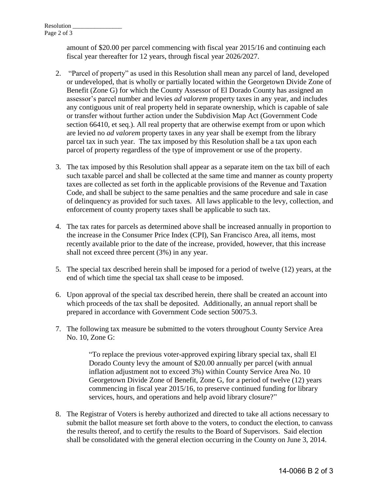amount of \$20.00 per parcel commencing with fiscal year 2015/16 and continuing each fiscal year thereafter for 12 years, through fiscal year 2026/2027.

- 2. "Parcel of property" as used in this Resolution shall mean any parcel of land, developed or undeveloped, that is wholly or partially located within the Georgetown Divide Zone of Benefit (Zone G) for which the County Assessor of El Dorado County has assigned an assessor's parcel number and levies *ad valorem* property taxes in any year, and includes any contiguous unit of real property held in separate ownership, which is capable of sale or transfer without further action under the Subdivision Map Act (Government Code section 66410, et seq.). All real property that are otherwise exempt from or upon which are levied no *ad valorem* property taxes in any year shall be exempt from the library parcel tax in such year. The tax imposed by this Resolution shall be a tax upon each parcel of property regardless of the type of improvement or use of the property.
- 3. The tax imposed by this Resolution shall appear as a separate item on the tax bill of each such taxable parcel and shall be collected at the same time and manner as county property taxes are collected as set forth in the applicable provisions of the Revenue and Taxation Code, and shall be subject to the same penalties and the same procedure and sale in case of delinquency as provided for such taxes. All laws applicable to the levy, collection, and enforcement of county property taxes shall be applicable to such tax.
- 4. The tax rates for parcels as determined above shall be increased annually in proportion to the increase in the Consumer Price Index (CPI), San Francisco Area, all items, most recently available prior to the date of the increase, provided, however, that this increase shall not exceed three percent (3%) in any year.
- 5. The special tax described herein shall be imposed for a period of twelve (12) years, at the end of which time the special tax shall cease to be imposed.
- 6. Upon approval of the special tax described herein, there shall be created an account into which proceeds of the tax shall be deposited. Additionally, an annual report shall be prepared in accordance with Government Code section 50075.3.
- 7. The following tax measure be submitted to the voters throughout County Service Area No. 10, Zone G:

"To replace the previous voter-approved expiring library special tax, shall El Dorado County levy the amount of \$20.00 annually per parcel (with annual inflation adjustment not to exceed 3%) within County Service Area No. 10 Georgetown Divide Zone of Benefit, Zone G, for a period of twelve (12) years commencing in fiscal year 2015/16, to preserve continued funding for library services, hours, and operations and help avoid library closure?"

8. The Registrar of Voters is hereby authorized and directed to take all actions necessary to submit the ballot measure set forth above to the voters, to conduct the election, to canvass the results thereof, and to certify the results to the Board of Supervisors. Said election shall be consolidated with the general election occurring in the County on June 3, 2014.